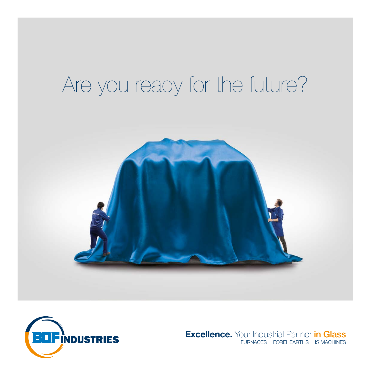## Are you ready for the future?





FURNACES | FOREHEARTHS | IS MACHINES **Excellence.** Your Industrial Partner in Glass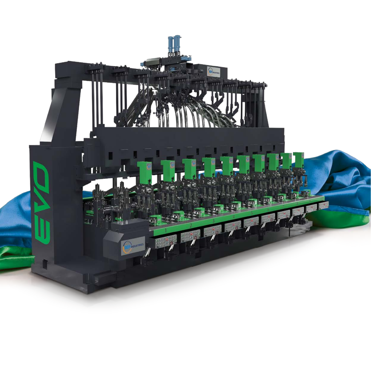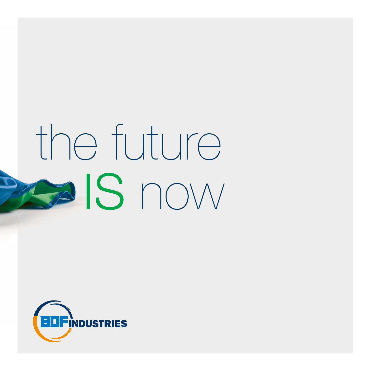# the future B NOW

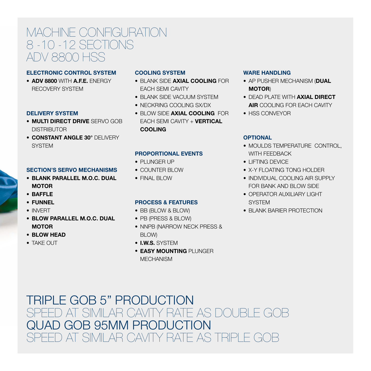### MACHINE CONFIGURATION 8 -10 -12 SECTIONS ADV 8800 HSS

#### **ELECTRONIC CONTROL SYSTEM**

• **ADV 8800** WITH **A.F.E.** ENERGY RECOVERY SYSTEM

#### **DELIVERY SYSTEM**

- **MULTI DIRECT DRIVE** SERVO GOB **DISTRIBUTOR**
- **CONSTANT ANGLE 30°** DELIVERY **SYSTEM**

#### **SECTION'S SERVO MECHANISMS**

- **BLANK PARALLEL M.O.C. DUAL MOTOR**
- **BAFFLE**
- **FUNNEL**
- INVERT
- **BLOW PARALLEL M.O.C. DUAL MOTOR**
- **BLOW HEAD**
- TAKE OUT

#### **COOLING SYSTEM**

- BLANK SIDE **AXIAL COOLING** FOR EACH SEMI CAVITY
- BLANK SIDE VACUUM SYSTEM
- NECKRING COOLING SX/DX
- BLOW SIDE **AXIAL COOLING** FOR EACH SEMI CAVITY + **VERTICAL COOLING**

#### **PROPORTIONAL EVENTS**

- PLUNGER UP
- COUNTER BLOW
- FINAL BLOW

#### **PROCESS & FEATURES**

- BB (BLOW & BLOW)
- PB (PRESS & BLOW)
- NNPB (NARROW NECK PRESS & BLOW)
- **I.W.S.** SYSTEM
- **EASY MOUNTING** PLUNGER MECHANISM

#### **WARE HANDLING**

- AP PUSHER MECHANISM (**DUAL MOTOR**)
- DEAD PLATE WITH **AXIAL DIRECT AIR** COOLING FOR EACH CAVITY
- HSS CONVEYOR

#### **OPTIONAL**

- MOULDS TEMPERATURE CONTROL, WITH FEEDBACK
- LIFTING DEVICE
- X-Y FLOATING TONG HOLDER
- INDIVIDUAL COOLING AIR SUPPLY FOR BANK AND BLOW SIDE
- OPERATOR AUXILIARY LIGHT **SYSTEM**
- BLANK BARIER PROTECTION

TRIPLE GOB 5" PRODUCTION SPEED AT SIMILAR CAVITY RATE AS DOUBLE GOB QUAD GOB 95MM PRODUCTION SPEED AT SIMILAR CAVITY RATE AS TRIPLE GOB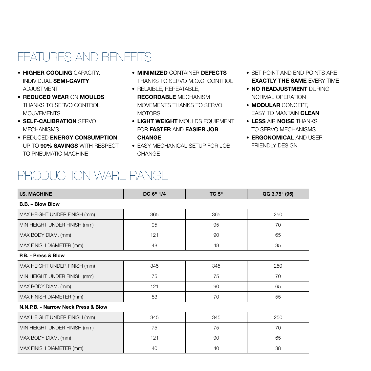## FEATURES AND BENEFITS

- **HIGHER COOLING** CAPACITY, INDIVIDUAL **SEMI-CAVITY** ADJUSTMENT
- **REDUCED WEAR** ON **MOULDS** THANKS TO SERVO CONTROL MOUVEMENTS
- **SELF-CALIBRATION** SERVO **MECHANISMS**
- REDUCED **ENERGY CONSUMPTION**: UP TO **90% SAVINGS** WITH RESPECT TO PNEUMATIC MACHINE
- **MINIMIZED** CONTAINER **DEFECTS** THANKS TO SERVO M.O.C. CONTROL
- RELAIBLE, REPEATABLE, **RECORDABLE** MECHANISM MOVEMENTS THANKS TO SERVO **MOTORS**
- **LIGHT WEIGHT** MOULDS EQUIPMENT FOR **FASTER** AND **EASIER JOB CHANGE**
- EASY MECHANICAL SETUP FOR JOB **CHANGE**
- SET POINT AND END POINTS ARE **EXACTLY THE SAME** EVERY TIME
- **NO READJUSTMENT** DURING NORMAL OPERATION
- **MODULAR** CONCEPT, EASY TO MANTAIN **CLEAN**
- **LESS** AIR **NOISE** THANKS TO SERVO MECHANISMS
- **ERGONOMICAL** AND USER FRIENDLY DESIGN

## PRODUCTION WARE RANGE

| 250 |
|-----|
|     |
|     |
| 70  |
| 65  |
| 35  |
|     |
| 250 |
| 70  |
| 65  |
| 55  |
|     |
| 250 |
| 70  |
| 65  |
| 38  |
|     |